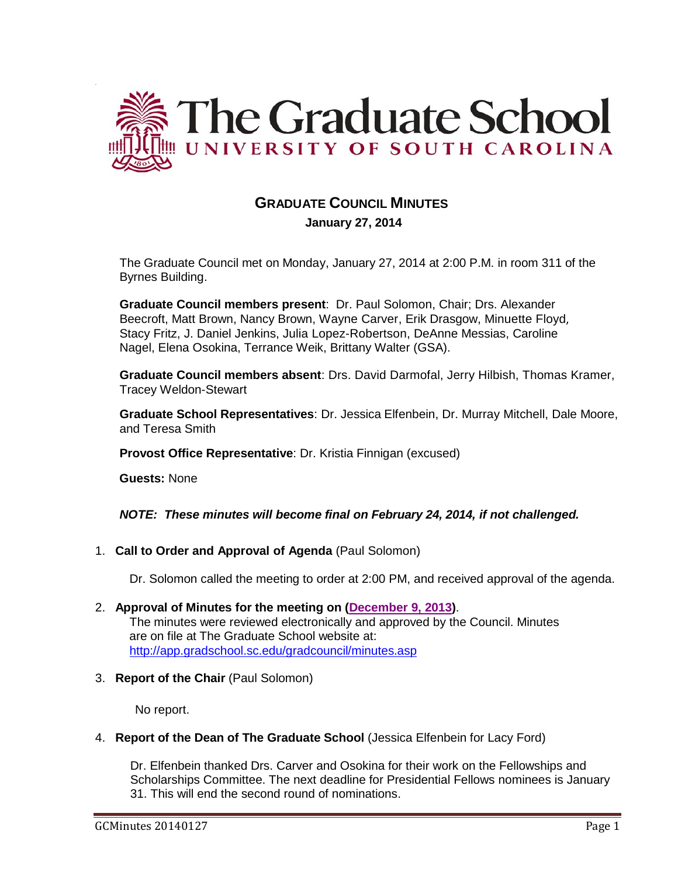

# **GRADUATE COUNCIL MINUTES**

 **January 27, 2014**

The Graduate Council met on Monday, January 27, 2014 at 2:00 P.M. in room 311 of the Byrnes Building.

**Graduate Council members present**: Dr. Paul Solomon, Chair; Drs. Alexander Beecroft, Matt Brown, Nancy Brown, Wayne Carver, Erik Drasgow, Minuette Floyd, Stacy Fritz, J. Daniel Jenkins, Julia Lopez-Robertson, DeAnne Messias, Caroline Nagel, Elena Osokina, Terrance Weik, Brittany Walter (GSA).

**Graduate Council members absent**: Drs. David Darmofal, Jerry Hilbish, Thomas Kramer, Tracey Weldon-Stewart

**Graduate School Representatives**: Dr. Jessica Elfenbein, Dr. Murray Mitchell, Dale Moore, and Teresa Smith

**Provost Office Representative**: Dr. Kristia Finnigan (excused)

**Guests:** None

*NOTE: These minutes will become final on February 24, 2014, if not challenged.*

1. **Call to Order and Approval of Agenda** (Paul Solomon)

Dr. Solomon called the meeting to order at 2:00 PM, and received approval of the agenda.

- 2. **Approval of Minutes for the meeting on [\(December 9, 2013\)](http://gradschool.sc.edu/facstaff/gradcouncil/2013/GC%20Minutes%2012%209%202013(MM).pdf)**. The minutes were reviewed electronically and approved by the Council. Minutes are on file at The Graduate School website at: <http://app.gradschool.sc.edu/gradcouncil/minutes.asp>
- 3. **Report of the Chair** (Paul Solomon)

No report.

4. **Report of the Dean of The Graduate School** (Jessica Elfenbein for Lacy Ford)

Dr. Elfenbein thanked Drs. Carver and Osokina for their work on the Fellowships and Scholarships Committee. The next deadline for Presidential Fellows nominees is January 31. This will end the second round of nominations.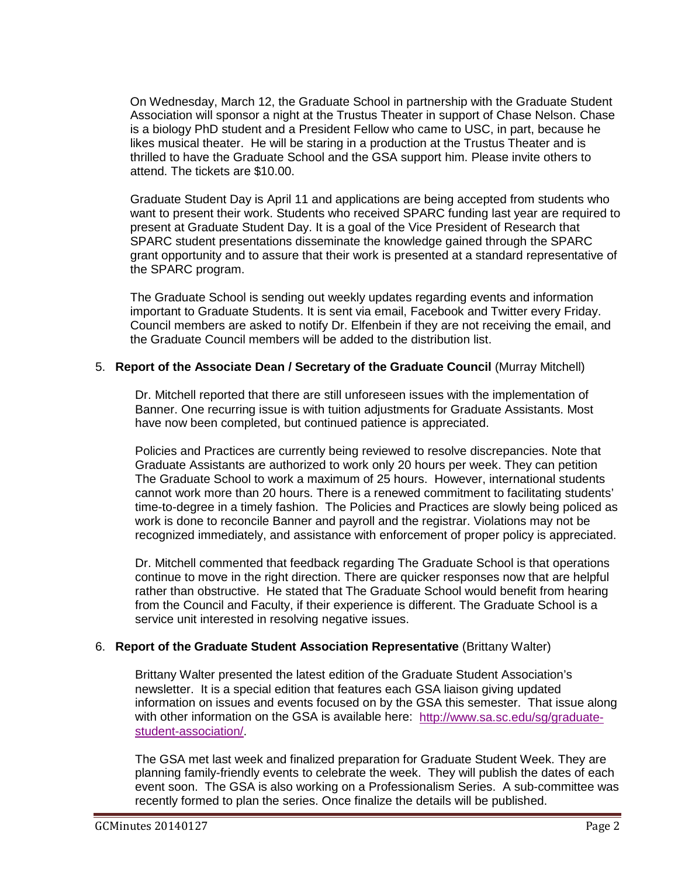On Wednesday, March 12, the Graduate School in partnership with the Graduate Student Association will sponsor a night at the Trustus Theater in support of Chase Nelson. Chase is a biology PhD student and a President Fellow who came to USC, in part, because he likes musical theater. He will be staring in a production at the Trustus Theater and is thrilled to have the Graduate School and the GSA support him. Please invite others to attend. The tickets are \$10.00.

Graduate Student Day is April 11 and applications are being accepted from students who want to present their work. Students who received SPARC funding last year are required to present at Graduate Student Day. It is a goal of the Vice President of Research that SPARC student presentations disseminate the knowledge gained through the SPARC grant opportunity and to assure that their work is presented at a standard representative of the SPARC program.

The Graduate School is sending out weekly updates regarding events and information important to Graduate Students. It is sent via email, Facebook and Twitter every Friday. Council members are asked to notify Dr. Elfenbein if they are not receiving the email, and the Graduate Council members will be added to the distribution list.

### 5. **Report of the Associate Dean / Secretary of the Graduate Council** (Murray Mitchell)

Dr. Mitchell reported that there are still unforeseen issues with the implementation of Banner. One recurring issue is with tuition adjustments for Graduate Assistants. Most have now been completed, but continued patience is appreciated.

Policies and Practices are currently being reviewed to resolve discrepancies. Note that Graduate Assistants are authorized to work only 20 hours per week. They can petition The Graduate School to work a maximum of 25 hours. However, international students cannot work more than 20 hours. There is a renewed commitment to facilitating students' time-to-degree in a timely fashion. The Policies and Practices are slowly being policed as work is done to reconcile Banner and payroll and the registrar. Violations may not be recognized immediately, and assistance with enforcement of proper policy is appreciated.

Dr. Mitchell commented that feedback regarding The Graduate School is that operations continue to move in the right direction. There are quicker responses now that are helpful rather than obstructive. He stated that The Graduate School would benefit from hearing from the Council and Faculty, if their experience is different. The Graduate School is a service unit interested in resolving negative issues.

### 6. **Report of the Graduate Student Association Representative** (Brittany Walter)

Brittany Walter presented the latest edition of the Graduate Student Association's newsletter. It is a special edition that features each GSA liaison giving updated information on issues and events focused on by the GSA this semester. That issue along with other information on the GSA is available here: [http://www.sa.sc.edu/sg/graduate](http://www.sa.sc.edu/sg/graduate-student-association/)[student-association/.](http://www.sa.sc.edu/sg/graduate-student-association/)

The GSA met last week and finalized preparation for Graduate Student Week. They are planning family-friendly events to celebrate the week. They will publish the dates of each event soon. The GSA is also working on a Professionalism Series. A sub-committee was recently formed to plan the series. Once finalize the details will be published.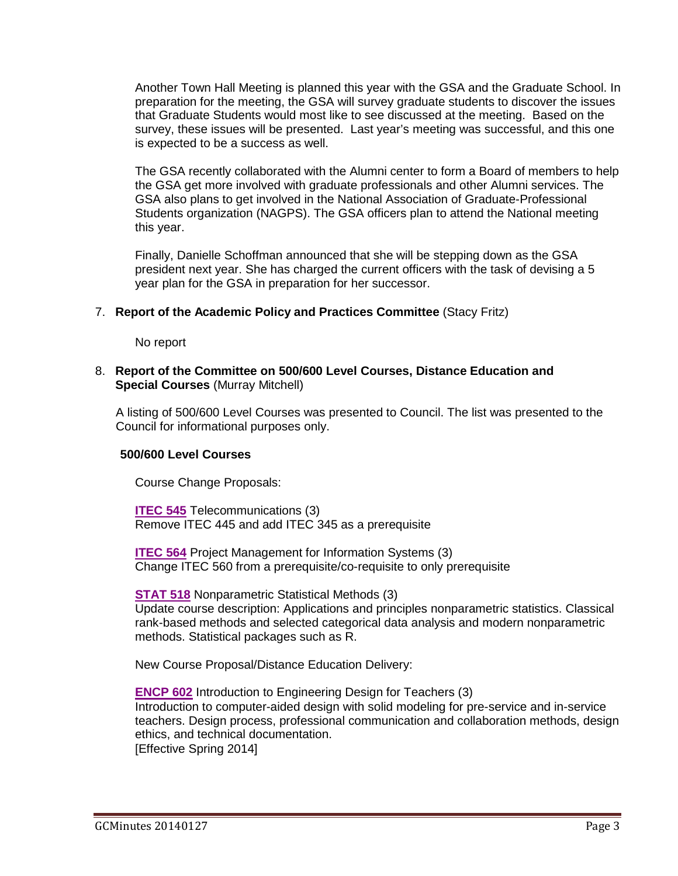Another Town Hall Meeting is planned this year with the GSA and the Graduate School. In preparation for the meeting, the GSA will survey graduate students to discover the issues that Graduate Students would most like to see discussed at the meeting. Based on the survey, these issues will be presented. Last year's meeting was successful, and this one is expected to be a success as well.

The GSA recently collaborated with the Alumni center to form a Board of members to help the GSA get more involved with graduate professionals and other Alumni services. The GSA also plans to get involved in the National Association of Graduate-Professional Students organization (NAGPS). The GSA officers plan to attend the National meeting this year.

Finally, Danielle Schoffman announced that she will be stepping down as the GSA president next year. She has charged the current officers with the task of devising a 5 year plan for the GSA in preparation for her successor.

#### 7. **Report of the Academic Policy and Practices Committee** (Stacy Fritz)

No report

#### 8. **Report of the Committee on 500/600 Level Courses, Distance Education and Special Courses** (Murray Mitchell)

A listing of 500/600 Level Courses was presented to Council. The list was presented to the Council for informational purposes only.

#### **500/600 Level Courses**

Course Change Proposals:

**ITEC 545** Telecommunications (3) Remove ITEC 445 and add ITEC 345 as a prerequisite

**ITEC 564** Project Management for Information Systems (3) Change ITEC 560 from a prerequisite/co-requisite to only prerequisite

**STAT 518** Nonparametric Statistical Methods (3) Update course description: Applications and principles nonparametric statistics. Classical rank-based methods and selected categorical data analysis and modern nonparametric methods. Statistical packages such as R.

New Course Proposal/Distance Education Delivery:

**ENCP 602** Introduction to Engineering Design for Teachers (3) Introduction to computer-aided design with solid modeling for pre-service and in-service teachers. Design process, professional communication and collaboration methods, design ethics, and technical documentation. [Effective Spring 2014]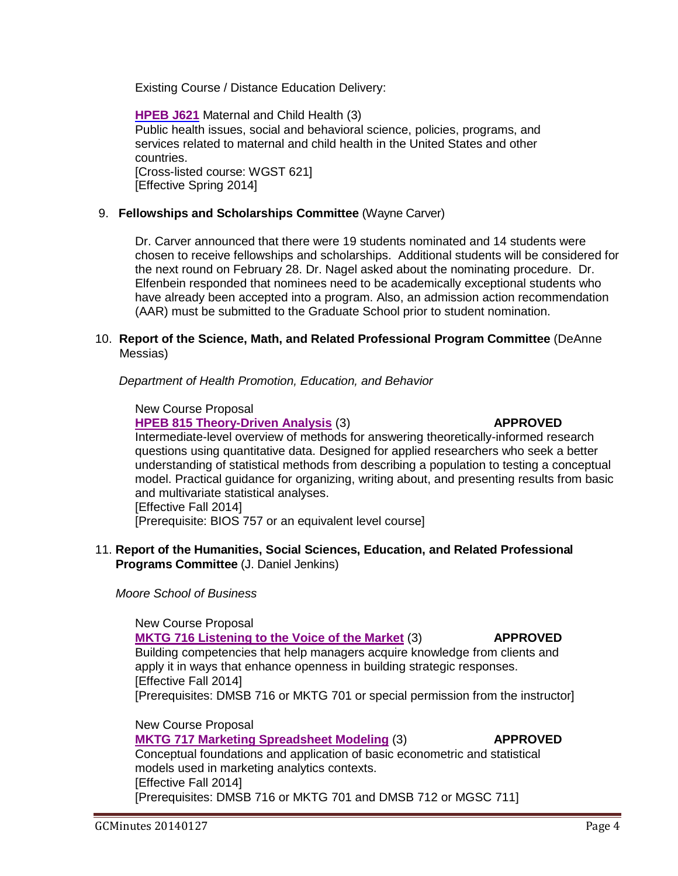Existing Course / Distance Education Delivery:

**[HPEB J621](http://gradschool.sc.edu/facstaff/gradcouncil/2013/HPEB%20J621_Redacted.pdf)** Maternal and Child Health (3) Public health issues, social and behavioral science, policies, programs, and services related to maternal and child health in the United States and other countries. [Cross-listed course: WGST 621] [Effective Spring 2014]

### 9. **Fellowships and Scholarships Committee** (Wayne Carver)

Dr. Carver announced that there were 19 students nominated and 14 students were chosen to receive fellowships and scholarships. Additional students will be considered for the next round on February 28. Dr. Nagel asked about the nominating procedure. Dr. Elfenbein responded that nominees need to be academically exceptional students who have already been accepted into a program. Also, an admission action recommendation (AAR) must be submitted to the Graduate School prior to student nomination.

#### 10. **Report of the Science, Math, and Related Professional Program Committee** (DeAnne Messias)

 *Department of Health Promotion, Education, and Behavior*

#### New Course Proposal

**[HPEB 815 Theory-Driven Analysis](http://gradschool.sc.edu/facstaff/gradcouncil/2013/HPEB%20815%20NCP_Redacted.pdf)** (3) **APPROVED**

Intermediate-level overview of methods for answering theoretically-informed research questions using quantitative data. Designed for applied researchers who seek a better understanding of statistical methods from describing a population to testing a conceptual model. Practical guidance for organizing, writing about, and presenting results from basic and multivariate statistical analyses. [Effective Fall 2014]

[Prerequisite: BIOS 757 or an equivalent level course]

### 11. **Report of the Humanities, Social Sciences, Education, and Related Professional Programs Committee** (J. Daniel Jenkins)

*Moore School of Business*

#### New Course Proposal

#### **[MKTG 716 Listening to the Voice of the Market](http://gradschool.sc.edu/facstaff/gradcouncil/2013/MKTG%20716%20ncp_Redacted.pdf)** (3) **APPROVED**

Building competencies that help managers acquire knowledge from clients and apply it in ways that enhance openness in building strategic responses. [Effective Fall 2014]

[Prerequisites: DMSB 716 or MKTG 701 or special permission from the instructor]

New Course Proposal **MKTG 717 Marketing Spreadsheet Modeling** (3) **APPROVED** Conceptual foundations and application of basic econometric and statistical models used in marketing analytics contexts. [Effective Fall 2014] [Prerequisites: DMSB 716 or MKTG 701 and DMSB 712 or MGSC 711]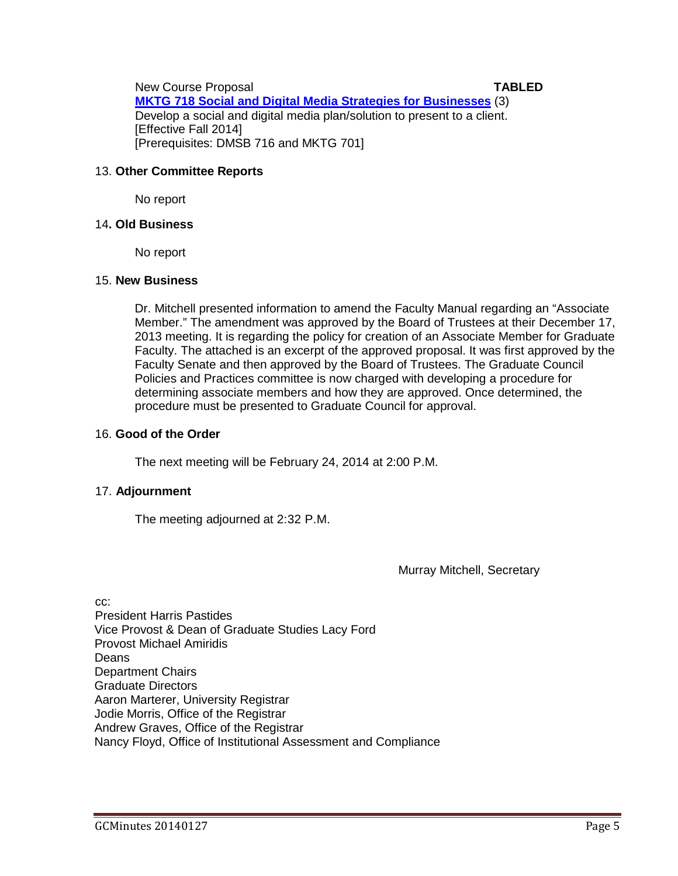New Course Proposal **TABLED MKTG 718 Social and Digital Media Strategies [for Businesses](http://gradschool.sc.edu/facstaff/gradcouncil/2013/MKTG%20718%20NCP_Redacted.pdf)** (3) Develop a social and digital media plan/solution to present to a client. [Effective Fall 2014] [Prerequisites: DMSB 716 and MKTG 701]

### 13. **Other Committee Reports**

No report

### 14**. Old Business**

No report

### 15. **New Business**

Dr. Mitchell presented information to amend the Faculty Manual regarding an "Associate Member." The amendment was approved by the Board of Trustees at their December 17, 2013 meeting. It is regarding the policy for creation of an Associate Member for Graduate Faculty. The attached is an excerpt of the approved proposal. It was first approved by the Faculty Senate and then approved by the Board of Trustees. The Graduate Council Policies and Practices committee is now charged with developing a procedure for determining associate members and how they are approved. Once determined, the procedure must be presented to Graduate Council for approval.

### 16. **Good of the Order**

The next meeting will be February 24, 2014 at 2:00 P.M.

## 17. **Adjournment**

The meeting adjourned at 2:32 P.M.

Murray Mitchell, Secretary

cc: President Harris Pastides Vice Provost & Dean of Graduate Studies Lacy Ford Provost Michael Amiridis Deans Department Chairs Graduate Directors Aaron Marterer, University Registrar Jodie Morris, Office of the Registrar Andrew Graves, Office of the Registrar Nancy Floyd, Office of Institutional Assessment and Compliance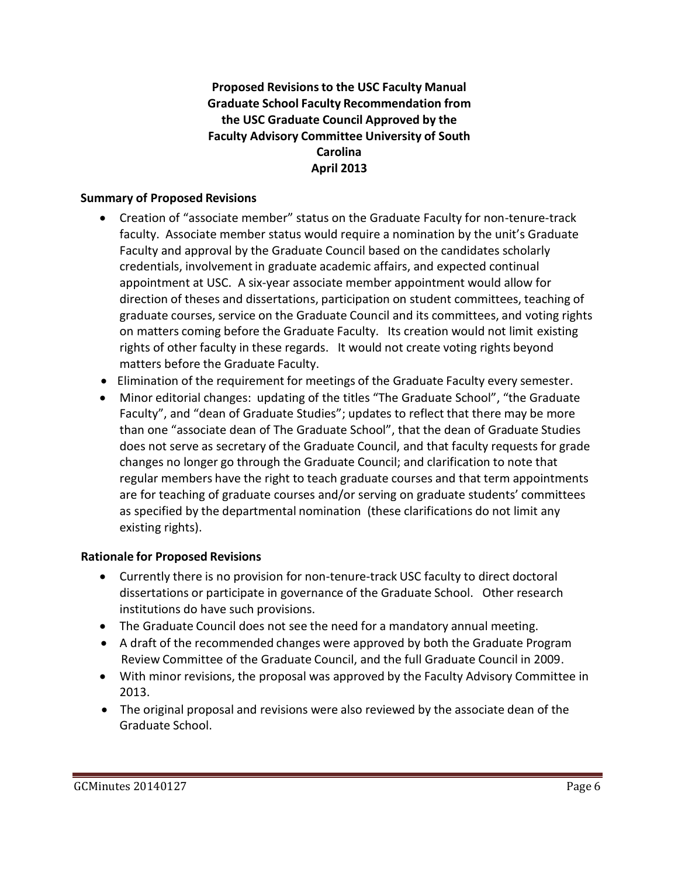## **Proposed Revisionsto the USC Faculty Manual Graduate School Faculty Recommendation from the USC Graduate Council Approved by the Faculty Advisory Committee University of South Carolina April 2013**

### **Summary of Proposed Revisions**

- Creation of "associate member" status on the Graduate Faculty for non-tenure-track faculty. Associate member status would require a nomination by the unit's Graduate Faculty and approval by the Graduate Council based on the candidates scholarly credentials, involvement in graduate academic affairs, and expected continual appointment at USC. A six-year associate member appointment would allow for direction of theses and dissertations, participation on student committees, teaching of graduate courses, service on the Graduate Council and its committees, and voting rights on matters coming before the Graduate Faculty. Its creation would not limit existing rights of other faculty in these regards. It would not create voting rights beyond matters before the Graduate Faculty.
- Elimination of the requirement for meetings of the Graduate Faculty every semester.
- Minor editorial changes: updating of the titles "The Graduate School", "the Graduate Faculty", and "dean of Graduate Studies"; updates to reflect that there may be more than one "associate dean of The Graduate School", that the dean of Graduate Studies does not serve as secretary of the Graduate Council, and that faculty requests for grade changes no longer go through the Graduate Council; and clarification to note that regular members have the right to teach graduate courses and that term appointments are for teaching of graduate courses and/or serving on graduate students' committees as specified by the departmental nomination (these clarifications do not limit any existing rights).

## **Rationale for Proposed Revisions**

- Currently there is no provision for non-tenure-track USC faculty to direct doctoral dissertations or participate in governance of the Graduate School. Other research institutions do have such provisions.
- The Graduate Council does not see the need for a mandatory annual meeting.
- A draft of the recommended changes were approved by both the Graduate Program Review Committee of the Graduate Council, and the full Graduate Council in 2009.
- With minor revisions, the proposal was approved by the Faculty Advisory Committee in 2013.
- The original proposal and revisions were also reviewed by the associate dean of the Graduate School.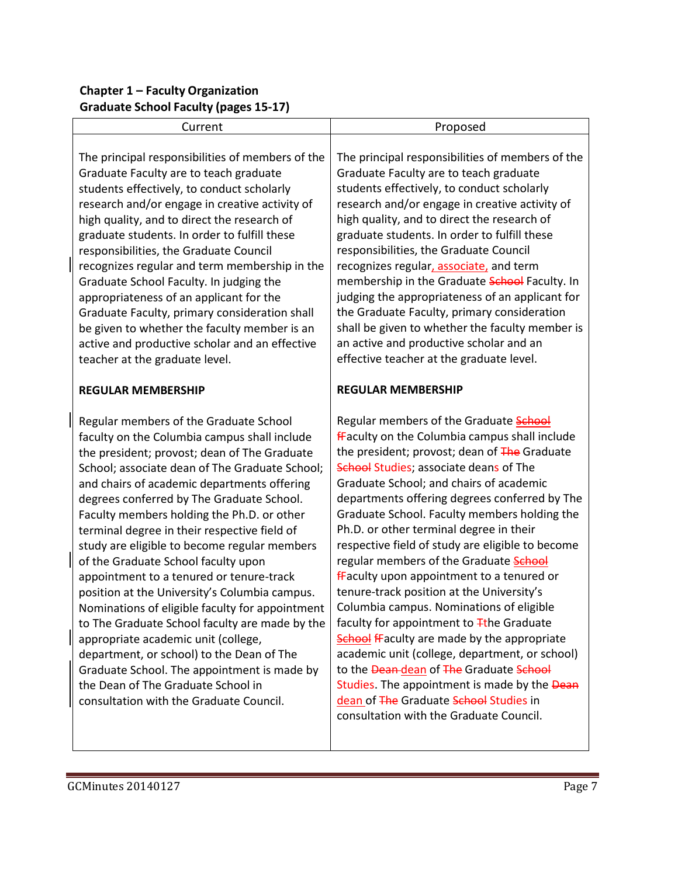## **Chapter 1 – Faculty Organization Graduate School Faculty (pages 15-17)**

| Current                                                                                                                                                                                                                                                                                                                                                                                                                                                                                                                                                                                                                                                                                                                                                                                                                                                                                         | Proposed                                                                                                                                                                                                                                                                                                                                                                                                                                                                                                                                                                                                                                                                                                                                                                                                                                                                                                                                                                     |
|-------------------------------------------------------------------------------------------------------------------------------------------------------------------------------------------------------------------------------------------------------------------------------------------------------------------------------------------------------------------------------------------------------------------------------------------------------------------------------------------------------------------------------------------------------------------------------------------------------------------------------------------------------------------------------------------------------------------------------------------------------------------------------------------------------------------------------------------------------------------------------------------------|------------------------------------------------------------------------------------------------------------------------------------------------------------------------------------------------------------------------------------------------------------------------------------------------------------------------------------------------------------------------------------------------------------------------------------------------------------------------------------------------------------------------------------------------------------------------------------------------------------------------------------------------------------------------------------------------------------------------------------------------------------------------------------------------------------------------------------------------------------------------------------------------------------------------------------------------------------------------------|
| The principal responsibilities of members of the<br>Graduate Faculty are to teach graduate<br>students effectively, to conduct scholarly<br>research and/or engage in creative activity of<br>high quality, and to direct the research of<br>graduate students. In order to fulfill these<br>responsibilities, the Graduate Council<br>recognizes regular and term membership in the<br>Graduate School Faculty. In judging the<br>appropriateness of an applicant for the<br>Graduate Faculty, primary consideration shall<br>be given to whether the faculty member is an<br>active and productive scholar and an effective<br>teacher at the graduate level.                                                                                                                                                                                                                                 | The principal responsibilities of members of the<br>Graduate Faculty are to teach graduate<br>students effectively, to conduct scholarly<br>research and/or engage in creative activity of<br>high quality, and to direct the research of<br>graduate students. In order to fulfill these<br>responsibilities, the Graduate Council<br>recognizes regular, associate, and term<br>membership in the Graduate School Faculty. In<br>judging the appropriateness of an applicant for<br>the Graduate Faculty, primary consideration<br>shall be given to whether the faculty member is<br>an active and productive scholar and an<br>effective teacher at the graduate level.                                                                                                                                                                                                                                                                                                  |
| <b>REGULAR MEMBERSHIP</b>                                                                                                                                                                                                                                                                                                                                                                                                                                                                                                                                                                                                                                                                                                                                                                                                                                                                       | <b>REGULAR MEMBERSHIP</b>                                                                                                                                                                                                                                                                                                                                                                                                                                                                                                                                                                                                                                                                                                                                                                                                                                                                                                                                                    |
| Regular members of the Graduate School<br>faculty on the Columbia campus shall include<br>the president; provost; dean of The Graduate<br>School; associate dean of The Graduate School;<br>and chairs of academic departments offering<br>degrees conferred by The Graduate School.<br>Faculty members holding the Ph.D. or other<br>terminal degree in their respective field of<br>study are eligible to become regular members<br>of the Graduate School faculty upon<br>appointment to a tenured or tenure-track<br>position at the University's Columbia campus.<br>Nominations of eligible faculty for appointment<br>to The Graduate School faculty are made by the<br>appropriate academic unit (college,<br>department, or school) to the Dean of The<br>Graduate School. The appointment is made by<br>the Dean of The Graduate School in<br>consultation with the Graduate Council. | Regular members of the Graduate <b>School</b><br>fFaculty on the Columbia campus shall include<br>the president; provost; dean of The Graduate<br><b>School Studies; associate deans of The</b><br>Graduate School; and chairs of academic<br>departments offering degrees conferred by The<br>Graduate School. Faculty members holding the<br>Ph.D. or other terminal degree in their<br>respective field of study are eligible to become<br>regular members of the Graduate <b>School</b><br><b>fFaculty upon appointment to a tenured or</b><br>tenure-track position at the University's<br>Columbia campus. Nominations of eligible<br>faculty for appointment to Tthe Graduate<br><b>School fFaculty are made by the appropriate</b><br>academic unit (college, department, or school)<br>to the Dean-dean of The Graduate School<br>Studies. The appointment is made by the Dean<br>dean of The Graduate School Studies in<br>consultation with the Graduate Council. |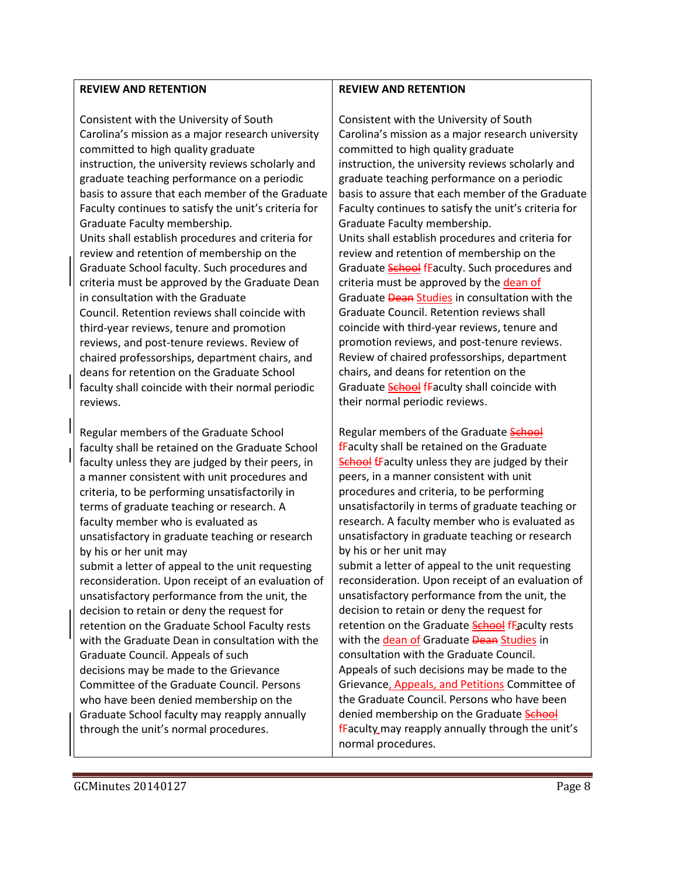#### **REVIEW AND RETENTION**

Consistent with the University of South Carolina's mission as a major research university committed to high quality graduate instruction, the university reviews scholarly and graduate teaching performance on a periodic basis to assure that each member of the Graduate Faculty continues to satisfy the unit's criteria for Graduate Faculty membership. Units shall establish procedures and criteria for review and retention of membership on the Graduate School faculty. Such procedures and criteria must be approved by the Graduate Dean in consultation with the Graduate Council. Retention reviews shall coincide with third-year reviews, tenure and promotion reviews, and post-tenure reviews. Review of chaired professorships, department chairs, and deans for retention on the Graduate School faculty shall coincide with their normal periodic reviews.

Regular members of the Graduate School faculty shall be retained on the Graduate School faculty unless they are judged by their peers, in a manner consistent with unit procedures and criteria, to be performing unsatisfactorily in terms of graduate teaching or research. A faculty member who is evaluated as unsatisfactory in graduate teaching or research by his or her unit may

submit a letter of appeal to the unit requesting reconsideration. Upon receipt of an evaluation of unsatisfactory performance from the unit, the decision to retain or deny the request for retention on the Graduate School Faculty rests with the Graduate Dean in consultation with the Graduate Council. Appeals of such decisions may be made to the Grievance Committee of the Graduate Council. Persons who have been denied membership on the Graduate School faculty may reapply annually through the unit's normal procedures.

#### **REVIEW AND RETENTION**

Consistent with the University of South Carolina's mission as a major research university committed to high quality graduate instruction, the university reviews scholarly and graduate teaching performance on a periodic basis to assure that each member of the Graduate Faculty continues to satisfy the unit's criteria for Graduate Faculty membership. Units shall establish procedures and criteria for review and retention of membership on the Graduate School fEaculty. Such procedures and criteria must be approved by the dean of Graduate **Dean Studies** in consultation with the Graduate Council. Retention reviews shall coincide with third-year reviews, tenure and promotion reviews, and post-tenure reviews. Review of chaired professorships, department chairs, and deans for retention on the Graduate School fFaculty shall coincide with their normal periodic reviews.

Regular members of the Graduate School  $f$ Faculty shall be retained on the Graduate School fFaculty unless they are judged by their peers, in a manner consistent with unit procedures and criteria, to be performing unsatisfactorily in terms of graduate teaching or research. A faculty member who is evaluated as unsatisfactory in graduate teaching or research by his or her unit may

submit a letter of appeal to the unit requesting reconsideration. Upon receipt of an evaluation of unsatisfactory performance from the unit, the decision to retain or deny the request for retention on the Graduate School fFaculty rests with the dean of Graduate Dean Studies in consultation with the Graduate Council. Appeals of such decisions may be made to the Grievance, Appeals, and Petitions Committee of the Graduate Council. Persons who have been denied membership on the Graduate School fFaculty may reapply annually through the unit's normal procedures.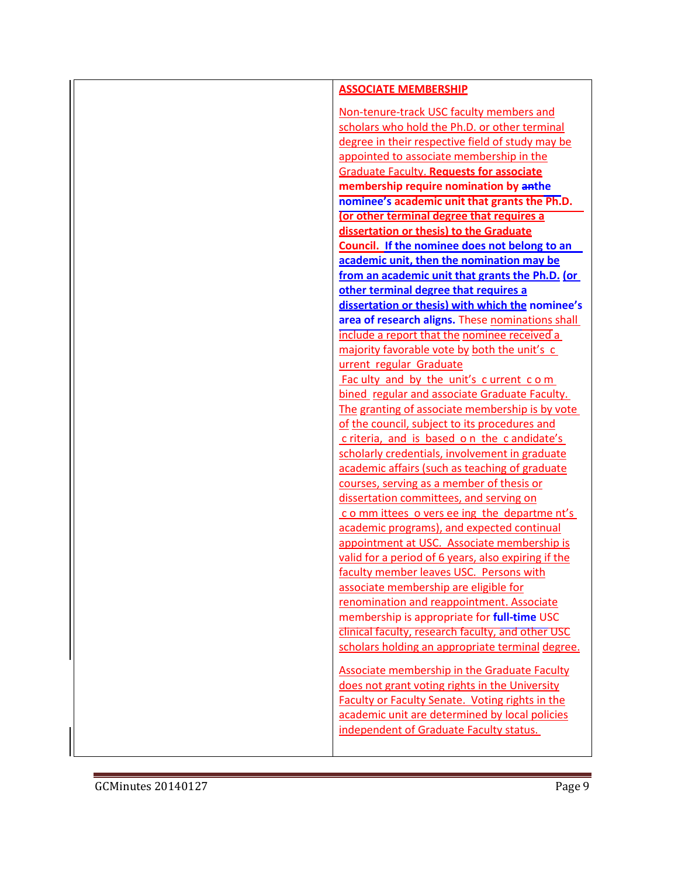| <b>ASSOCIATE MEMBERSHIP</b>                                                                                                                                                               |
|-------------------------------------------------------------------------------------------------------------------------------------------------------------------------------------------|
| Non-tenure-track USC faculty members and<br>scholars who hold the Ph.D. or other terminal<br>degree in their respective field of study may be<br>appointed to associate membership in the |
| <b>Graduate Faculty. Requests for associate</b><br>membership require nomination by anthe                                                                                                 |
| nominee's academic unit that grants the Ph.D.                                                                                                                                             |
| (or other terminal degree that requires a                                                                                                                                                 |
| dissertation or thesis) to the Graduate                                                                                                                                                   |
| Council. If the nominee does not belong to an                                                                                                                                             |
| academic unit, then the nomination may be                                                                                                                                                 |
| from an academic unit that grants the Ph.D. (or                                                                                                                                           |
| other terminal degree that requires a                                                                                                                                                     |
| dissertation or thesis) with which the nominee's                                                                                                                                          |
| area of research aligns. These nominations shall                                                                                                                                          |
| include a report that the nominee received a                                                                                                                                              |
| majority favorable vote by both the unit's c                                                                                                                                              |
| urrent regular Graduate                                                                                                                                                                   |
| Fac ulty and by the unit's current com                                                                                                                                                    |
| bined regular and associate Graduate Faculty.                                                                                                                                             |
| The granting of associate membership is by vote<br>of the council, subject to its procedures and                                                                                          |
| criteria, and is based on the candidate's                                                                                                                                                 |
| scholarly credentials, involvement in graduate                                                                                                                                            |
| academic affairs (such as teaching of graduate                                                                                                                                            |
| courses, serving as a member of thesis or                                                                                                                                                 |
| dissertation committees, and serving on                                                                                                                                                   |
| committees overseeing the department's                                                                                                                                                    |
| academic programs), and expected continual                                                                                                                                                |
| appointment at USC. Associate membership is                                                                                                                                               |
| valid for a period of 6 years, also expiring if the                                                                                                                                       |
| faculty member leaves USC. Persons with                                                                                                                                                   |
| associate membership are eligible for                                                                                                                                                     |
| renomination and reappointment. Associate                                                                                                                                                 |
| membership is appropriate for full-time USC                                                                                                                                               |
| clinical faculty, research faculty, and other USC                                                                                                                                         |
| scholars holding an appropriate terminal degree.                                                                                                                                          |
| <b>Associate membership in the Graduate Faculty</b>                                                                                                                                       |
| does not grant voting rights in the University                                                                                                                                            |
| <b>Faculty or Faculty Senate. Voting rights in the</b>                                                                                                                                    |
| academic unit are determined by local policies                                                                                                                                            |
| independent of Graduate Faculty status.                                                                                                                                                   |
|                                                                                                                                                                                           |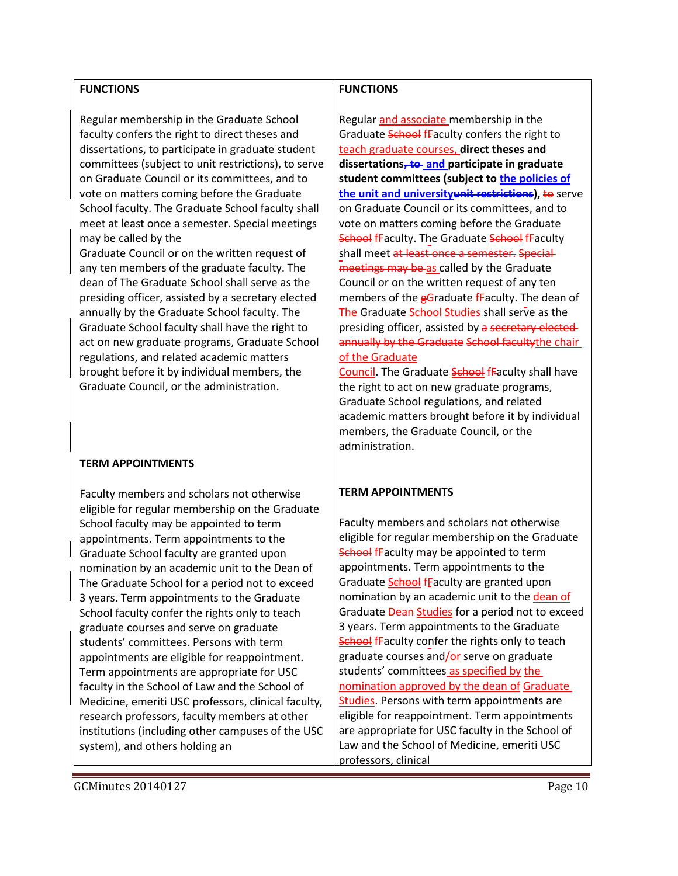#### **FUNCTIONS**

Regular membership in the Graduate School faculty confers the right to direct theses and dissertations, to participate in graduate student committees (subject to unit restrictions), to serve on Graduate Council or its committees, and to vote on matters coming before the Graduate School faculty. The Graduate School faculty shall meet at least once a semester. Special meetings may be called by the

Graduate Council or on the written request of any ten members of the graduate faculty. The dean of The Graduate School shall serve as the presiding officer, assisted by a secretary elected annually by the Graduate School faculty. The Graduate School faculty shall have the right to act on new graduate programs, Graduate School regulations, and related academic matters brought before it by individual members, the Graduate Council, or the administration.

### **TERM APPOINTMENTS**

Faculty members and scholars not otherwise eligible for regular membership on the Graduate School faculty may be appointed to term appointments. Term appointments to the Graduate School faculty are granted upon nomination by an academic unit to the Dean of The Graduate School for a period not to exceed 3 years. Term appointments to the Graduate School faculty confer the rights only to teach graduate courses and serve on graduate students' committees. Persons with term appointments are eligible for reappointment. Term appointments are appropriate for USC faculty in the School of Law and the School of Medicine, emeriti USC professors, clinical faculty, research professors, faculty members at other institutions (including other campuses of the USC system), and others holding an

### **FUNCTIONS**

Regular and associate membership in the Graduate **School fFaculty confers the right to** teach graduate courses, **direct theses and dissertations, to and participate in graduate student committees (subject to the policies of the unit and universityunit restrictions), to serve** on Graduate Council or its committees, and to vote on matters coming before the Graduate School fFaculty. The Graduate School fFaculty shall meet at least once a semester. Special meetings may be as called by the Graduate Council or on the written request of any ten members of the gGraduate fFaculty. The dean of The Graduate School Studies shall serve as the presiding officer, assisted by a secretary elected annually by the Graduate School facultythe chair of the Graduate

Council. The Graduate **School** fFaculty shall have the right to act on new graduate programs, Graduate School regulations, and related academic matters brought before it by individual members, the Graduate Council, or the administration.

## **TERM APPOINTMENTS**

Faculty members and scholars not otherwise eligible for regular membership on the Graduate School fFaculty may be appointed to term appointments. Term appointments to the Graduate **School** fFaculty are granted upon nomination by an academic unit to the dean of Graduate **Dean Studies** for a period not to exceed 3 years. Term appointments to the Graduate **School fFaculty confer the rights only to teach** graduate courses and/or serve on graduate students' committees as specified by the nomination approved by the dean of Graduate Studies. Persons with term appointments are eligible for reappointment. Term appointments are appropriate for USC faculty in the School of Law and the School of Medicine, emeriti USC professors, clinical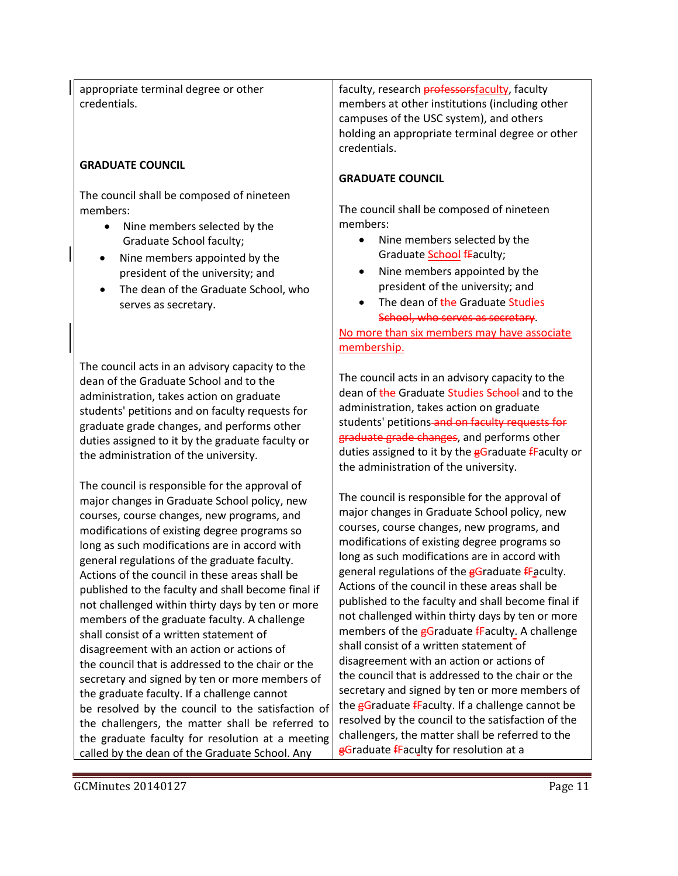appropriate terminal degree or other credentials.

### **GRADUATE COUNCIL**

The council shall be composed of nineteen members:

- Nine members selected by the Graduate School faculty;
- Nine members appointed by the president of the university; and
- The dean of the Graduate School, who serves as secretary.

The council acts in an advisory capacity to the dean of the Graduate School and to the administration, takes action on graduate students' petitions and on faculty requests for graduate grade changes, and performs other duties assigned to it by the graduate faculty or the administration of the university.

The council is responsible for the approval of major changes in Graduate School policy, new courses, course changes, new programs, and modifications of existing degree programs so long as such modifications are in accord with general regulations of the graduate faculty. Actions of the council in these areas shall be published to the faculty and shall become final if not challenged within thirty days by ten or more members of the graduate faculty. A challenge shall consist of a written statement of disagreement with an action or actions of the council that is addressed to the chair or the secretary and signed by ten or more members of the graduate faculty. If a challenge cannot be resolved by the council to the satisfaction of the challengers, the matter shall be referred to the graduate faculty for resolution at a meeting called by the dean of the Graduate School. Any

faculty, research **professors** faculty, faculty members at other institutions (including other campuses of the USC system), and others holding an appropriate terminal degree or other credentials.

### **GRADUATE COUNCIL**

The council shall be composed of nineteen members:

- Nine members selected by the Graduate **School fFaculty**;
- Nine members appointed by the president of the university; and
- The dean of the Graduate Studies School, who serves as secretary.

No more than six members may have associate membership.

The council acts in an advisory capacity to the dean of the Graduate Studies School and to the administration, takes action on graduate students' petitions-and on faculty requests for graduate grade changes, and performs other duties assigned to it by the **gGraduate fFaculty or** the administration of the university.

The council is responsible for the approval of major changes in Graduate School policy, new courses, course changes, new programs, and modifications of existing degree programs so long as such modifications are in accord with general regulations of the gGraduate fFaculty. Actions of the council in these areas shall be published to the faculty and shall become final if not challenged within thirty days by ten or more members of the gGraduate fFaculty. A challenge shall consist of a written statement of disagreement with an action or actions of the council that is addressed to the chair or the secretary and signed by ten or more members of the gGraduate fFaculty. If a challenge cannot be resolved by the council to the satisfaction of the challengers, the matter shall be referred to the **gGraduate fFaculty for resolution at a**